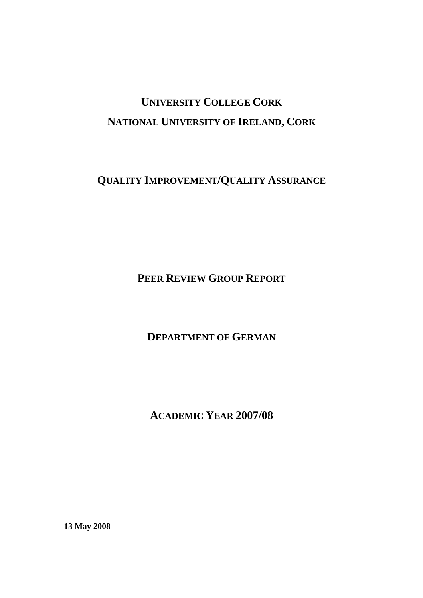# **UNIVERSITY COLLEGE CORK NATIONAL UNIVERSITY OF IRELAND, CORK**

**QUALITY IMPROVEMENT/QUALITY ASSURANCE**

**PEER REVIEW GROUP REPORT**

**DEPARTMENT OF GERMAN**

**ACADEMIC YEAR 2007/08** 

**13 May 2008**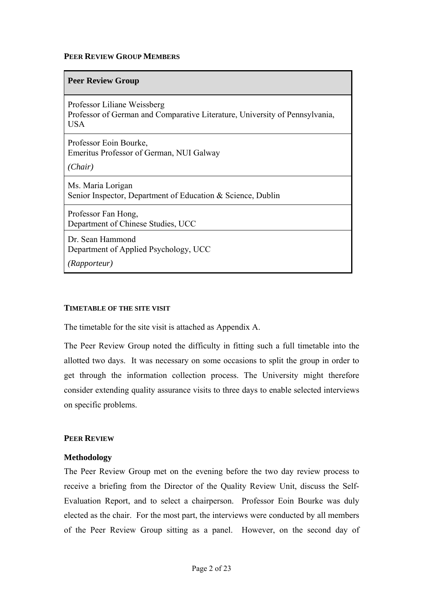#### **PEER REVIEW GROUP MEMBERS**

#### **Peer Review Group**

Professor Liliane Weissberg Professor of German and Comparative Literature, University of Pennsylvania, **USA** 

Professor Eoin Bourke, Emeritus Professor of German, NUI Galway

*(Chair)* 

Ms. Maria Lorigan Senior Inspector, Department of Education & Science, Dublin

Professor Fan Hong, Department of Chinese Studies, UCC

Dr. Sean Hammond Department of Applied Psychology, UCC

*(Rapporteur)* 

#### **TIMETABLE OF THE SITE VISIT**

The timetable for the site visit is attached as Appendix A.

The Peer Review Group noted the difficulty in fitting such a full timetable into the allotted two days. It was necessary on some occasions to split the group in order to get through the information collection process. The University might therefore consider extending quality assurance visits to three days to enable selected interviews on specific problems.

#### **PEER REVIEW**

#### **Methodology**

The Peer Review Group met on the evening before the two day review process to receive a briefing from the Director of the Quality Review Unit, discuss the Self-Evaluation Report, and to select a chairperson. Professor Eoin Bourke was duly elected as the chair. For the most part, the interviews were conducted by all members of the Peer Review Group sitting as a panel. However, on the second day of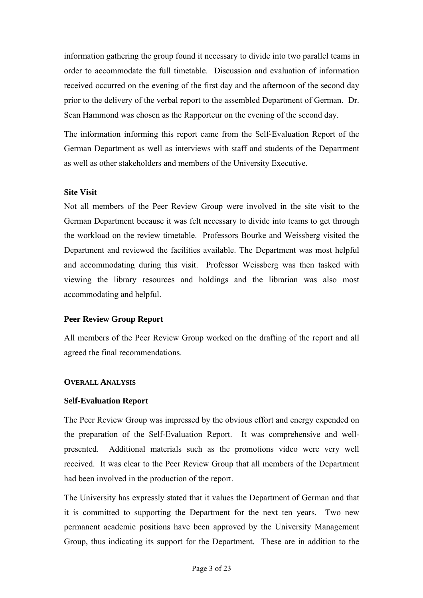information gathering the group found it necessary to divide into two parallel teams in order to accommodate the full timetable. Discussion and evaluation of information received occurred on the evening of the first day and the afternoon of the second day prior to the delivery of the verbal report to the assembled Department of German. Dr. Sean Hammond was chosen as the Rapporteur on the evening of the second day.

The information informing this report came from the Self-Evaluation Report of the German Department as well as interviews with staff and students of the Department as well as other stakeholders and members of the University Executive.

#### **Site Visit**

Not all members of the Peer Review Group were involved in the site visit to the German Department because it was felt necessary to divide into teams to get through the workload on the review timetable. Professors Bourke and Weissberg visited the Department and reviewed the facilities available. The Department was most helpful and accommodating during this visit. Professor Weissberg was then tasked with viewing the library resources and holdings and the librarian was also most accommodating and helpful.

# **Peer Review Group Report**

All members of the Peer Review Group worked on the drafting of the report and all agreed the final recommendations.

#### **OVERALL ANALYSIS**

#### **Self-Evaluation Report**

The Peer Review Group was impressed by the obvious effort and energy expended on the preparation of the Self-Evaluation Report. It was comprehensive and wellpresented. Additional materials such as the promotions video were very well received. It was clear to the Peer Review Group that all members of the Department had been involved in the production of the report.

The University has expressly stated that it values the Department of German and that it is committed to supporting the Department for the next ten years. Two new permanent academic positions have been approved by the University Management Group, thus indicating its support for the Department. These are in addition to the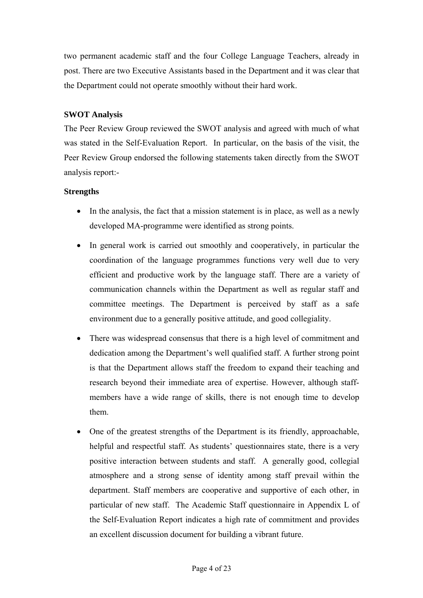two permanent academic staff and the four College Language Teachers, already in post. There are two Executive Assistants based in the Department and it was clear that the Department could not operate smoothly without their hard work.

# **SWOT Analysis**

The Peer Review Group reviewed the SWOT analysis and agreed with much of what was stated in the Self-Evaluation Report. In particular, on the basis of the visit, the Peer Review Group endorsed the following statements taken directly from the SWOT analysis report:-

# **Strengths**

- In the analysis, the fact that a mission statement is in place, as well as a newly developed MA-programme were identified as strong points.
- In general work is carried out smoothly and cooperatively, in particular the coordination of the language programmes functions very well due to very efficient and productive work by the language staff. There are a variety of communication channels within the Department as well as regular staff and committee meetings. The Department is perceived by staff as a safe environment due to a generally positive attitude, and good collegiality.
- There was widespread consensus that there is a high level of commitment and dedication among the Department's well qualified staff. A further strong point is that the Department allows staff the freedom to expand their teaching and research beyond their immediate area of expertise. However, although staffmembers have a wide range of skills, there is not enough time to develop them.
- One of the greatest strengths of the Department is its friendly, approachable, helpful and respectful staff. As students' questionnaires state, there is a very positive interaction between students and staff. A generally good, collegial atmosphere and a strong sense of identity among staff prevail within the department. Staff members are cooperative and supportive of each other, in particular of new staff. The Academic Staff questionnaire in Appendix L of the Self-Evaluation Report indicates a high rate of commitment and provides an excellent discussion document for building a vibrant future.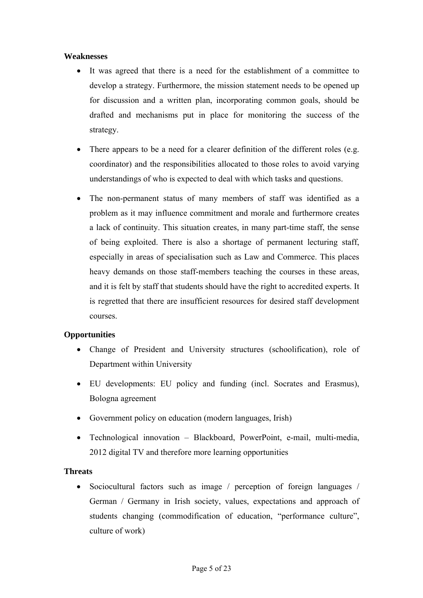### **Weaknesses**

- It was agreed that there is a need for the establishment of a committee to develop a strategy. Furthermore, the mission statement needs to be opened up for discussion and a written plan, incorporating common goals, should be drafted and mechanisms put in place for monitoring the success of the strategy.
- There appears to be a need for a clearer definition of the different roles (e.g. coordinator) and the responsibilities allocated to those roles to avoid varying understandings of who is expected to deal with which tasks and questions.
- The non-permanent status of many members of staff was identified as a problem as it may influence commitment and morale and furthermore creates a lack of continuity. This situation creates, in many part-time staff, the sense of being exploited. There is also a shortage of permanent lecturing staff, especially in areas of specialisation such as Law and Commerce. This places heavy demands on those staff-members teaching the courses in these areas, and it is felt by staff that students should have the right to accredited experts. It is regretted that there are insufficient resources for desired staff development courses.

# **Opportunities**

- Change of President and University structures (schoolification), role of Department within University
- EU developments: EU policy and funding (incl. Socrates and Erasmus), Bologna agreement
- Government policy on education (modern languages, Irish)
- Technological innovation Blackboard, PowerPoint, e-mail, multi-media, 2012 digital TV and therefore more learning opportunities

# **Threats**

• Sociocultural factors such as image / perception of foreign languages / German / Germany in Irish society, values, expectations and approach of students changing (commodification of education, "performance culture", culture of work)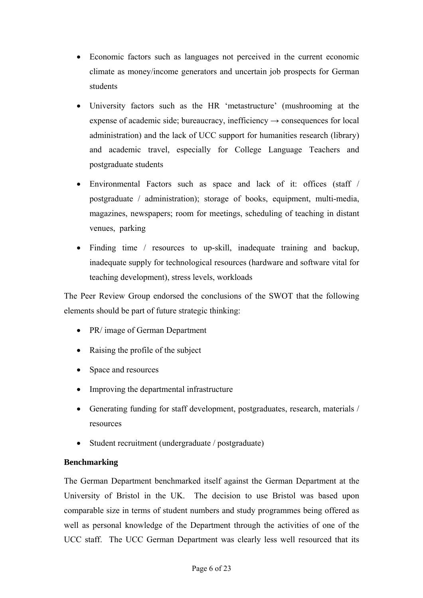- Economic factors such as languages not perceived in the current economic climate as money/income generators and uncertain job prospects for German students
- University factors such as the HR 'metastructure' (mushrooming at the expense of academic side; bureaucracy, inefficiency  $\rightarrow$  consequences for local administration) and the lack of UCC support for humanities research (library) and academic travel, especially for College Language Teachers and postgraduate students
- Environmental Factors such as space and lack of it: offices (staff / postgraduate / administration); storage of books, equipment, multi-media, magazines, newspapers; room for meetings, scheduling of teaching in distant venues, parking
- Finding time / resources to up-skill, inadequate training and backup, inadequate supply for technological resources (hardware and software vital for teaching development), stress levels, workloads

The Peer Review Group endorsed the conclusions of the SWOT that the following elements should be part of future strategic thinking:

- PR/ image of German Department
- Raising the profile of the subject
- Space and resources
- Improving the departmental infrastructure
- Generating funding for staff development, postgraduates, research, materials / resources
- Student recruitment (undergraduate / postgraduate)

# **Benchmarking**

The German Department benchmarked itself against the German Department at the University of Bristol in the UK. The decision to use Bristol was based upon comparable size in terms of student numbers and study programmes being offered as well as personal knowledge of the Department through the activities of one of the UCC staff. The UCC German Department was clearly less well resourced that its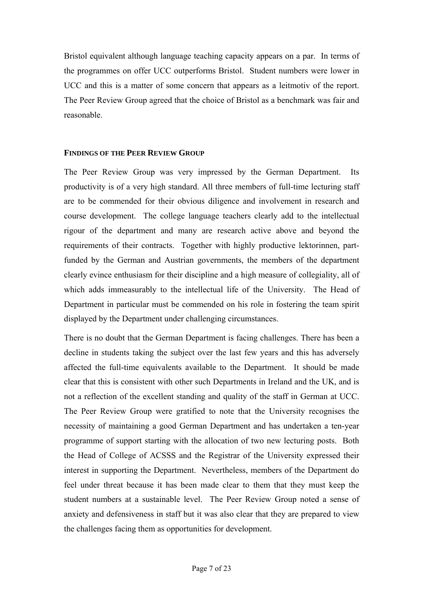Bristol equivalent although language teaching capacity appears on a par. In terms of the programmes on offer UCC outperforms Bristol. Student numbers were lower in UCC and this is a matter of some concern that appears as a leitmotiv of the report. The Peer Review Group agreed that the choice of Bristol as a benchmark was fair and reasonable.

#### **FINDINGS OF THE PEER REVIEW GROUP**

The Peer Review Group was very impressed by the German Department. Its productivity is of a very high standard. All three members of full-time lecturing staff are to be commended for their obvious diligence and involvement in research and course development. The college language teachers clearly add to the intellectual rigour of the department and many are research active above and beyond the requirements of their contracts. Together with highly productive lektorinnen, partfunded by the German and Austrian governments, the members of the department clearly evince enthusiasm for their discipline and a high measure of collegiality, all of which adds immeasurably to the intellectual life of the University. The Head of Department in particular must be commended on his role in fostering the team spirit displayed by the Department under challenging circumstances.

There is no doubt that the German Department is facing challenges. There has been a decline in students taking the subject over the last few years and this has adversely affected the full-time equivalents available to the Department. It should be made clear that this is consistent with other such Departments in Ireland and the UK, and is not a reflection of the excellent standing and quality of the staff in German at UCC. The Peer Review Group were gratified to note that the University recognises the necessity of maintaining a good German Department and has undertaken a ten-year programme of support starting with the allocation of two new lecturing posts. Both the Head of College of ACSSS and the Registrar of the University expressed their interest in supporting the Department. Nevertheless, members of the Department do feel under threat because it has been made clear to them that they must keep the student numbers at a sustainable level. The Peer Review Group noted a sense of anxiety and defensiveness in staff but it was also clear that they are prepared to view the challenges facing them as opportunities for development.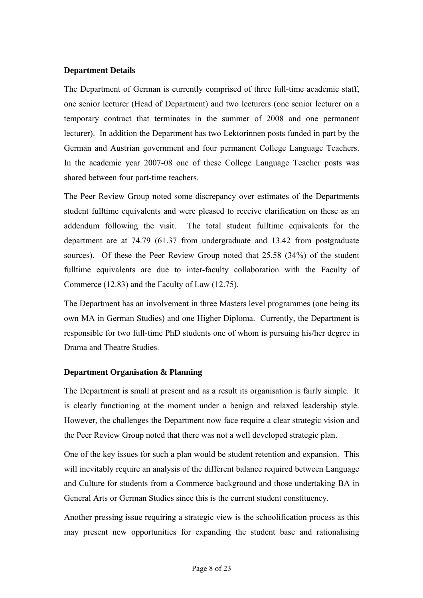### **Department Details**

The Department of German is currently comprised of three full-time academic staff, one senior lecturer (Head of Department) and two lecturers (one senior lecturer on a temporary contract that terminates in the summer of 2008 and one permanent lecturer). In addition the Department has two Lektorinnen posts funded in part by the German and Austrian government and four permanent College Language Teachers. In the academic year 2007-08 one of these College Language Teacher posts was shared between four part-time teachers.

The Peer Review Group noted some discrepancy over estimates of the Departments student fulltime equivalents and were pleased to receive clarification on these as an addendum following the visit. The total student fulltime equivalents for the department are at 74.79 (61.37 from undergraduate and 13.42 from postgraduate sources). Of these the Peer Review Group noted that 25.58 (34%) of the student fulltime equivalents are due to inter-faculty collaboration with the Faculty of Commerce (12.83) and the Faculty of Law (12.75).

The Department has an involvement in three Masters level programmes (one being its own MA in German Studies) and one Higher Diploma. Currently, the Department is responsible for two full-time PhD students one of whom is pursuing his/her degree in Drama and Theatre Studies.

#### **Department Organisation & Planning**

The Department is small at present and as a result its organisation is fairly simple. It is clearly functioning at the moment under a benign and relaxed leadership style. However, the challenges the Department now face require a clear strategic vision and the Peer Review Group noted that there was not a well developed strategic plan.

One of the key issues for such a plan would be student retention and expansion. This will inevitably require an analysis of the different balance required between Language and Culture for students from a Commerce background and those undertaking BA in General Arts or German Studies since this is the current student constituency.

Another pressing issue requiring a strategic view is the schoolification process as this may present new opportunities for expanding the student base and rationalising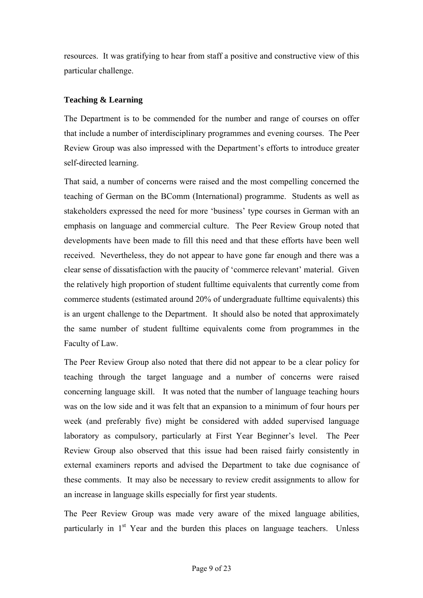resources. It was gratifying to hear from staff a positive and constructive view of this particular challenge.

# **Teaching & Learning**

The Department is to be commended for the number and range of courses on offer that include a number of interdisciplinary programmes and evening courses. The Peer Review Group was also impressed with the Department's efforts to introduce greater self-directed learning.

That said, a number of concerns were raised and the most compelling concerned the teaching of German on the BComm (International) programme. Students as well as stakeholders expressed the need for more 'business' type courses in German with an emphasis on language and commercial culture. The Peer Review Group noted that developments have been made to fill this need and that these efforts have been well received. Nevertheless, they do not appear to have gone far enough and there was a clear sense of dissatisfaction with the paucity of 'commerce relevant' material. Given the relatively high proportion of student fulltime equivalents that currently come from commerce students (estimated around 20% of undergraduate fulltime equivalents) this is an urgent challenge to the Department. It should also be noted that approximately the same number of student fulltime equivalents come from programmes in the Faculty of Law.

The Peer Review Group also noted that there did not appear to be a clear policy for teaching through the target language and a number of concerns were raised concerning language skill. It was noted that the number of language teaching hours was on the low side and it was felt that an expansion to a minimum of four hours per week (and preferably five) might be considered with added supervised language laboratory as compulsory, particularly at First Year Beginner's level. The Peer Review Group also observed that this issue had been raised fairly consistently in external examiners reports and advised the Department to take due cognisance of these comments. It may also be necessary to review credit assignments to allow for an increase in language skills especially for first year students.

The Peer Review Group was made very aware of the mixed language abilities, particularly in  $1<sup>st</sup>$  Year and the burden this places on language teachers. Unless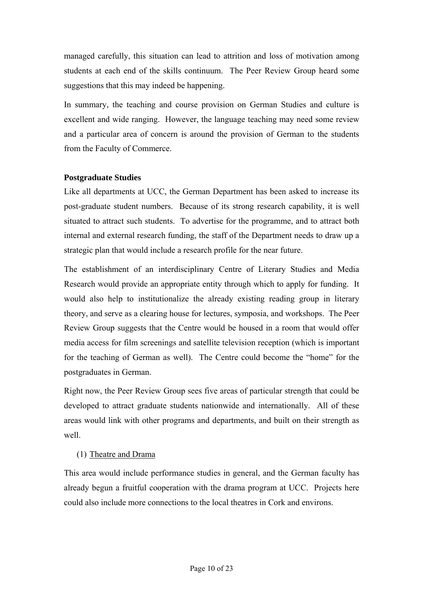managed carefully, this situation can lead to attrition and loss of motivation among students at each end of the skills continuum. The Peer Review Group heard some suggestions that this may indeed be happening.

In summary, the teaching and course provision on German Studies and culture is excellent and wide ranging. However, the language teaching may need some review and a particular area of concern is around the provision of German to the students from the Faculty of Commerce.

# **Postgraduate Studies**

Like all departments at UCC, the German Department has been asked to increase its post-graduate student numbers. Because of its strong research capability, it is well situated to attract such students. To advertise for the programme, and to attract both internal and external research funding, the staff of the Department needs to draw up a strategic plan that would include a research profile for the near future.

The establishment of an interdisciplinary Centre of Literary Studies and Media Research would provide an appropriate entity through which to apply for funding. It would also help to institutionalize the already existing reading group in literary theory, and serve as a clearing house for lectures, symposia, and workshops. The Peer Review Group suggests that the Centre would be housed in a room that would offer media access for film screenings and satellite television reception (which is important for the teaching of German as well). The Centre could become the "home" for the postgraduates in German.

Right now, the Peer Review Group sees five areas of particular strength that could be developed to attract graduate students nationwide and internationally. All of these areas would link with other programs and departments, and built on their strength as well.

# (1) Theatre and Drama

This area would include performance studies in general, and the German faculty has already begun a fruitful cooperation with the drama program at UCC. Projects here could also include more connections to the local theatres in Cork and environs.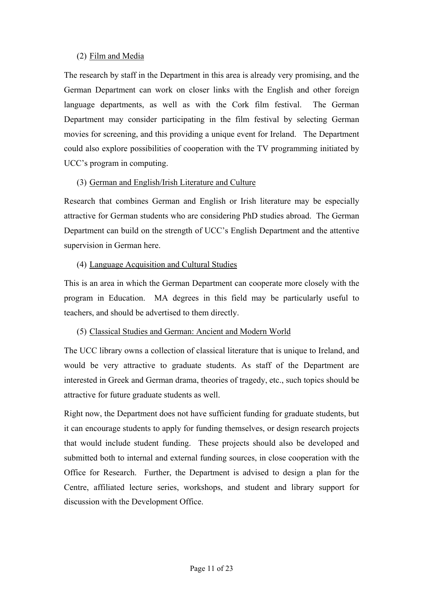# (2) Film and Media

The research by staff in the Department in this area is already very promising, and the German Department can work on closer links with the English and other foreign language departments, as well as with the Cork film festival. The German Department may consider participating in the film festival by selecting German movies for screening, and this providing a unique event for Ireland. The Department could also explore possibilities of cooperation with the TV programming initiated by UCC's program in computing.

# (3) German and English/Irish Literature and Culture

Research that combines German and English or Irish literature may be especially attractive for German students who are considering PhD studies abroad. The German Department can build on the strength of UCC's English Department and the attentive supervision in German here.

# (4) Language Acquisition and Cultural Studies

This is an area in which the German Department can cooperate more closely with the program in Education. MA degrees in this field may be particularly useful to teachers, and should be advertised to them directly.

# (5) Classical Studies and German: Ancient and Modern World

The UCC library owns a collection of classical literature that is unique to Ireland, and would be very attractive to graduate students. As staff of the Department are interested in Greek and German drama, theories of tragedy, etc., such topics should be attractive for future graduate students as well.

Right now, the Department does not have sufficient funding for graduate students, but it can encourage students to apply for funding themselves, or design research projects that would include student funding. These projects should also be developed and submitted both to internal and external funding sources, in close cooperation with the Office for Research. Further, the Department is advised to design a plan for the Centre, affiliated lecture series, workshops, and student and library support for discussion with the Development Office.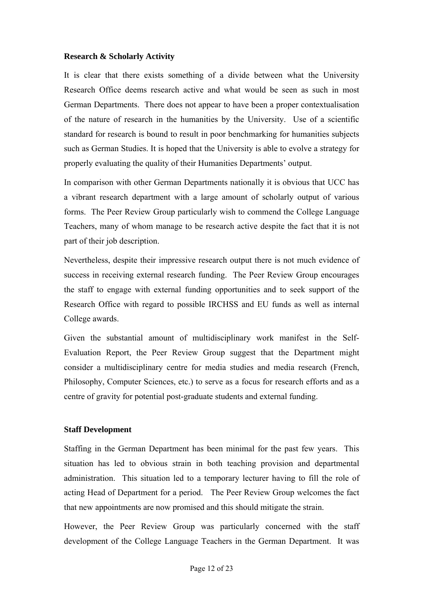#### **Research & Scholarly Activity**

It is clear that there exists something of a divide between what the University Research Office deems research active and what would be seen as such in most German Departments. There does not appear to have been a proper contextualisation of the nature of research in the humanities by the University. Use of a scientific standard for research is bound to result in poor benchmarking for humanities subjects such as German Studies. It is hoped that the University is able to evolve a strategy for properly evaluating the quality of their Humanities Departments' output.

In comparison with other German Departments nationally it is obvious that UCC has a vibrant research department with a large amount of scholarly output of various forms. The Peer Review Group particularly wish to commend the College Language Teachers, many of whom manage to be research active despite the fact that it is not part of their job description.

Nevertheless, despite their impressive research output there is not much evidence of success in receiving external research funding. The Peer Review Group encourages the staff to engage with external funding opportunities and to seek support of the Research Office with regard to possible IRCHSS and EU funds as well as internal College awards.

Given the substantial amount of multidisciplinary work manifest in the Self-Evaluation Report, the Peer Review Group suggest that the Department might consider a multidisciplinary centre for media studies and media research (French, Philosophy, Computer Sciences, etc.) to serve as a focus for research efforts and as a centre of gravity for potential post-graduate students and external funding.

#### **Staff Development**

Staffing in the German Department has been minimal for the past few years. This situation has led to obvious strain in both teaching provision and departmental administration. This situation led to a temporary lecturer having to fill the role of acting Head of Department for a period. The Peer Review Group welcomes the fact that new appointments are now promised and this should mitigate the strain.

However, the Peer Review Group was particularly concerned with the staff development of the College Language Teachers in the German Department. It was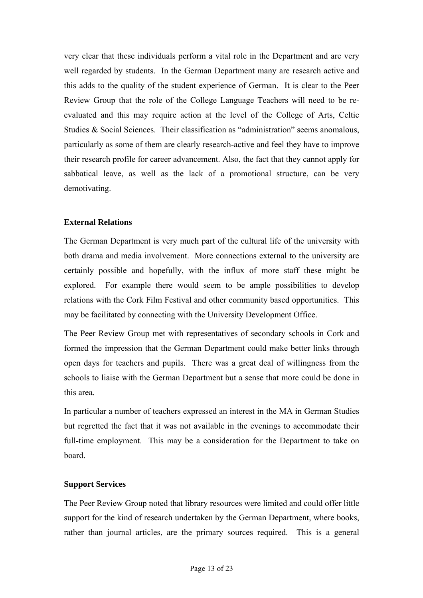very clear that these individuals perform a vital role in the Department and are very well regarded by students. In the German Department many are research active and this adds to the quality of the student experience of German. It is clear to the Peer Review Group that the role of the College Language Teachers will need to be reevaluated and this may require action at the level of the College of Arts, Celtic Studies & Social Sciences. Their classification as "administration" seems anomalous, particularly as some of them are clearly research-active and feel they have to improve their research profile for career advancement. Also, the fact that they cannot apply for sabbatical leave, as well as the lack of a promotional structure, can be very demotivating.

# **External Relations**

The German Department is very much part of the cultural life of the university with both drama and media involvement. More connections external to the university are certainly possible and hopefully, with the influx of more staff these might be explored. For example there would seem to be ample possibilities to develop relations with the Cork Film Festival and other community based opportunities. This may be facilitated by connecting with the University Development Office.

The Peer Review Group met with representatives of secondary schools in Cork and formed the impression that the German Department could make better links through open days for teachers and pupils. There was a great deal of willingness from the schools to liaise with the German Department but a sense that more could be done in this area.

In particular a number of teachers expressed an interest in the MA in German Studies but regretted the fact that it was not available in the evenings to accommodate their full-time employment. This may be a consideration for the Department to take on board.

# **Support Services**

The Peer Review Group noted that library resources were limited and could offer little support for the kind of research undertaken by the German Department, where books, rather than journal articles, are the primary sources required. This is a general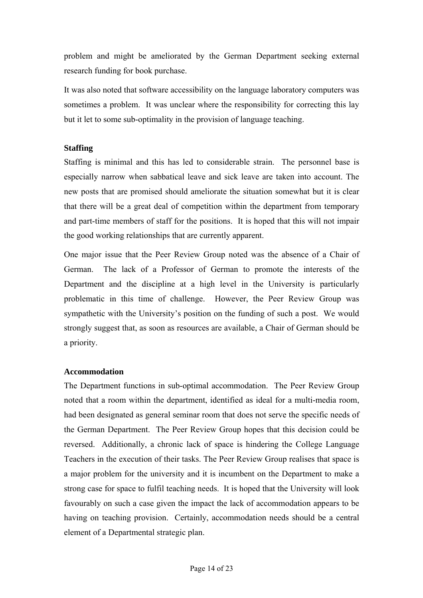problem and might be ameliorated by the German Department seeking external research funding for book purchase.

It was also noted that software accessibility on the language laboratory computers was sometimes a problem. It was unclear where the responsibility for correcting this lay but it let to some sub-optimality in the provision of language teaching.

# **Staffing**

Staffing is minimal and this has led to considerable strain. The personnel base is especially narrow when sabbatical leave and sick leave are taken into account. The new posts that are promised should ameliorate the situation somewhat but it is clear that there will be a great deal of competition within the department from temporary and part-time members of staff for the positions. It is hoped that this will not impair the good working relationships that are currently apparent.

One major issue that the Peer Review Group noted was the absence of a Chair of German. The lack of a Professor of German to promote the interests of the Department and the discipline at a high level in the University is particularly problematic in this time of challenge. However, the Peer Review Group was sympathetic with the University's position on the funding of such a post. We would strongly suggest that, as soon as resources are available, a Chair of German should be a priority.

# **Accommodation**

The Department functions in sub-optimal accommodation. The Peer Review Group noted that a room within the department, identified as ideal for a multi-media room, had been designated as general seminar room that does not serve the specific needs of the German Department. The Peer Review Group hopes that this decision could be reversed. Additionally, a chronic lack of space is hindering the College Language Teachers in the execution of their tasks. The Peer Review Group realises that space is a major problem for the university and it is incumbent on the Department to make a strong case for space to fulfil teaching needs. It is hoped that the University will look favourably on such a case given the impact the lack of accommodation appears to be having on teaching provision. Certainly, accommodation needs should be a central element of a Departmental strategic plan.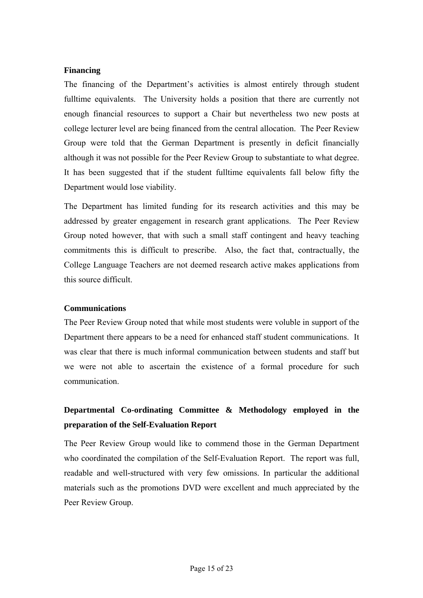#### **Financing**

The financing of the Department's activities is almost entirely through student fulltime equivalents. The University holds a position that there are currently not enough financial resources to support a Chair but nevertheless two new posts at college lecturer level are being financed from the central allocation. The Peer Review Group were told that the German Department is presently in deficit financially although it was not possible for the Peer Review Group to substantiate to what degree. It has been suggested that if the student fulltime equivalents fall below fifty the Department would lose viability.

The Department has limited funding for its research activities and this may be addressed by greater engagement in research grant applications. The Peer Review Group noted however, that with such a small staff contingent and heavy teaching commitments this is difficult to prescribe. Also, the fact that, contractually, the College Language Teachers are not deemed research active makes applications from this source difficult.

#### **Communications**

The Peer Review Group noted that while most students were voluble in support of the Department there appears to be a need for enhanced staff student communications. It was clear that there is much informal communication between students and staff but we were not able to ascertain the existence of a formal procedure for such communication.

# **Departmental Co-ordinating Committee & Methodology employed in the preparation of the Self-Evaluation Report**

The Peer Review Group would like to commend those in the German Department who coordinated the compilation of the Self-Evaluation Report. The report was full, readable and well-structured with very few omissions. In particular the additional materials such as the promotions DVD were excellent and much appreciated by the Peer Review Group.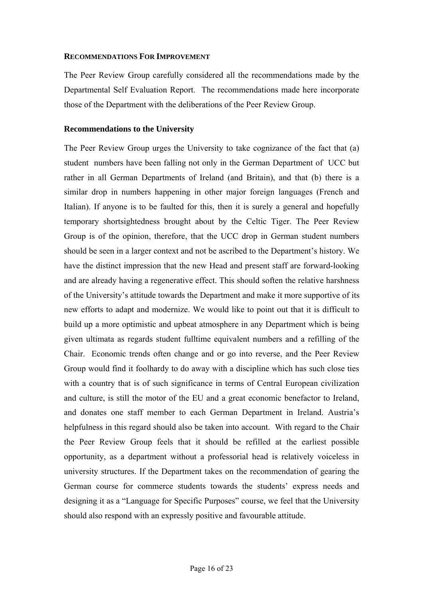#### **RECOMMENDATIONS FOR IMPROVEMENT**

The Peer Review Group carefully considered all the recommendations made by the Departmental Self Evaluation Report. The recommendations made here incorporate those of the Department with the deliberations of the Peer Review Group.

#### **Recommendations to the University**

The Peer Review Group urges the University to take cognizance of the fact that (a) student numbers have been falling not only in the German Department of UCC but rather in all German Departments of Ireland (and Britain), and that (b) there is a similar drop in numbers happening in other major foreign languages (French and Italian). If anyone is to be faulted for this, then it is surely a general and hopefully temporary shortsightedness brought about by the Celtic Tiger. The Peer Review Group is of the opinion, therefore, that the UCC drop in German student numbers should be seen in a larger context and not be ascribed to the Department's history. We have the distinct impression that the new Head and present staff are forward-looking and are already having a regenerative effect. This should soften the relative harshness of the University's attitude towards the Department and make it more supportive of its new efforts to adapt and modernize. We would like to point out that it is difficult to build up a more optimistic and upbeat atmosphere in any Department which is being given ultimata as regards student fulltime equivalent numbers and a refilling of the Chair. Economic trends often change and or go into reverse, and the Peer Review Group would find it foolhardy to do away with a discipline which has such close ties with a country that is of such significance in terms of Central European civilization and culture, is still the motor of the EU and a great economic benefactor to Ireland, and donates one staff member to each German Department in Ireland. Austria's helpfulness in this regard should also be taken into account. With regard to the Chair the Peer Review Group feels that it should be refilled at the earliest possible opportunity, as a department without a professorial head is relatively voiceless in university structures. If the Department takes on the recommendation of gearing the German course for commerce students towards the students' express needs and designing it as a "Language for Specific Purposes" course, we feel that the University should also respond with an expressly positive and favourable attitude.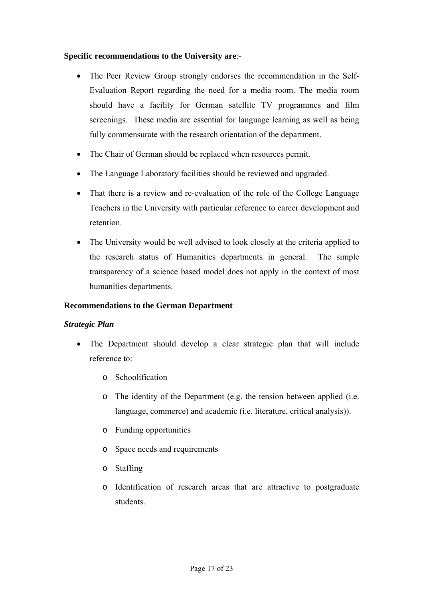### **Specific recommendations to the University are**:-

- The Peer Review Group strongly endorses the recommendation in the Self-Evaluation Report regarding the need for a media room. The media room should have a facility for German satellite TV programmes and film screenings. These media are essential for language learning as well as being fully commensurate with the research orientation of the department.
- The Chair of German should be replaced when resources permit.
- The Language Laboratory facilities should be reviewed and upgraded.
- That there is a review and re-evaluation of the role of the College Language Teachers in the University with particular reference to career development and retention.
- The University would be well advised to look closely at the criteria applied to the research status of Humanities departments in general. The simple transparency of a science based model does not apply in the context of most humanities departments.

# **Recommendations to the German Department**

#### *Strategic Plan*

- The Department should develop a clear strategic plan that will include reference to:
	- o Schoolification
	- o The identity of the Department (e.g. the tension between applied (i.e. language, commerce) and academic (i.e. literature, critical analysis)).
	- o Funding opportunities
	- o Space needs and requirements
	- o Staffing
	- o Identification of research areas that are attractive to postgraduate students.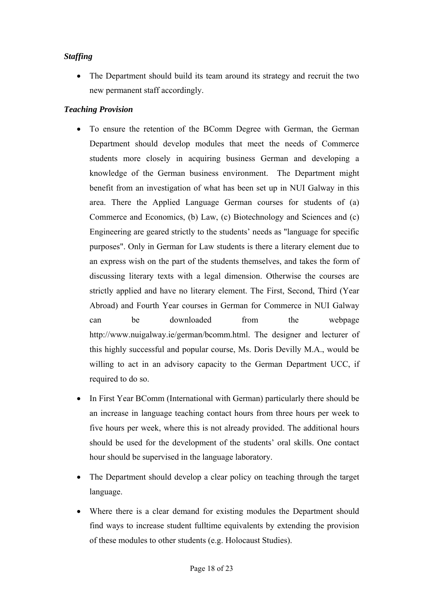# *Staffing*

• The Department should build its team around its strategy and recruit the two new permanent staff accordingly.

# *Teaching Provision*

- To ensure the retention of the BComm Degree with German, the German Department should develop modules that meet the needs of Commerce students more closely in acquiring business German and developing a knowledge of the German business environment. The Department might benefit from an investigation of what has been set up in NUI Galway in this area. There the Applied Language German courses for students of (a) Commerce and Economics, (b) Law, (c) Biotechnology and Sciences and (c) Engineering are geared strictly to the students' needs as "language for specific purposes". Only in German for Law students is there a literary element due to an express wish on the part of the students themselves, and takes the form of discussing literary texts with a legal dimension. Otherwise the courses are strictly applied and have no literary element. The First, Second, Third (Year Abroad) and Fourth Year courses in German for Commerce in NUI Galway can be downloaded from the webpage http://www.nuigalway.ie/german/bcomm.html. The designer and lecturer of this highly successful and popular course, Ms. Doris Devilly M.A., would be willing to act in an advisory capacity to the German Department UCC, if required to do so.
- In First Year BComm (International with German) particularly there should be an increase in language teaching contact hours from three hours per week to five hours per week, where this is not already provided. The additional hours should be used for the development of the students' oral skills. One contact hour should be supervised in the language laboratory.
- The Department should develop a clear policy on teaching through the target language.
- Where there is a clear demand for existing modules the Department should find ways to increase student fulltime equivalents by extending the provision of these modules to other students (e.g. Holocaust Studies).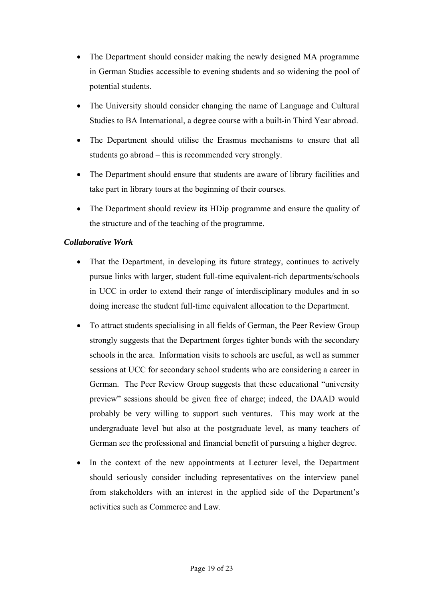- The Department should consider making the newly designed MA programme in German Studies accessible to evening students and so widening the pool of potential students.
- The University should consider changing the name of Language and Cultural Studies to BA International, a degree course with a built-in Third Year abroad.
- The Department should utilise the Erasmus mechanisms to ensure that all students go abroad – this is recommended very strongly.
- The Department should ensure that students are aware of library facilities and take part in library tours at the beginning of their courses.
- The Department should review its HDip programme and ensure the quality of the structure and of the teaching of the programme.

# *Collaborative Work*

- That the Department, in developing its future strategy, continues to actively pursue links with larger, student full-time equivalent-rich departments/schools in UCC in order to extend their range of interdisciplinary modules and in so doing increase the student full-time equivalent allocation to the Department.
- To attract students specialising in all fields of German, the Peer Review Group strongly suggests that the Department forges tighter bonds with the secondary schools in the area. Information visits to schools are useful, as well as summer sessions at UCC for secondary school students who are considering a career in German. The Peer Review Group suggests that these educational "university preview" sessions should be given free of charge; indeed, the DAAD would probably be very willing to support such ventures. This may work at the undergraduate level but also at the postgraduate level, as many teachers of German see the professional and financial benefit of pursuing a higher degree.
- In the context of the new appointments at Lecturer level, the Department should seriously consider including representatives on the interview panel from stakeholders with an interest in the applied side of the Department's activities such as Commerce and Law.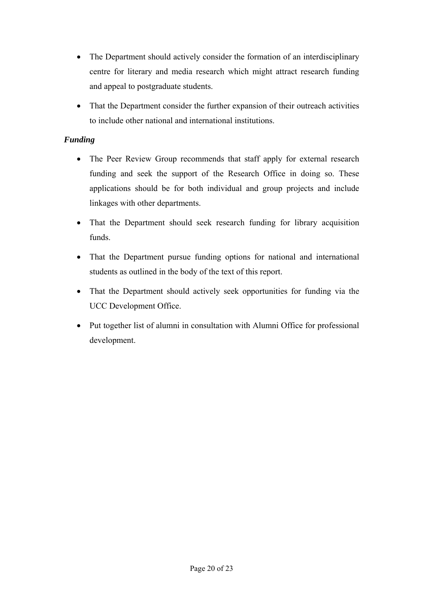- The Department should actively consider the formation of an interdisciplinary centre for literary and media research which might attract research funding and appeal to postgraduate students.
- That the Department consider the further expansion of their outreach activities to include other national and international institutions.

# *Funding*

- The Peer Review Group recommends that staff apply for external research funding and seek the support of the Research Office in doing so. These applications should be for both individual and group projects and include linkages with other departments.
- That the Department should seek research funding for library acquisition funds.
- That the Department pursue funding options for national and international students as outlined in the body of the text of this report.
- That the Department should actively seek opportunities for funding via the UCC Development Office.
- Put together list of alumni in consultation with Alumni Office for professional development.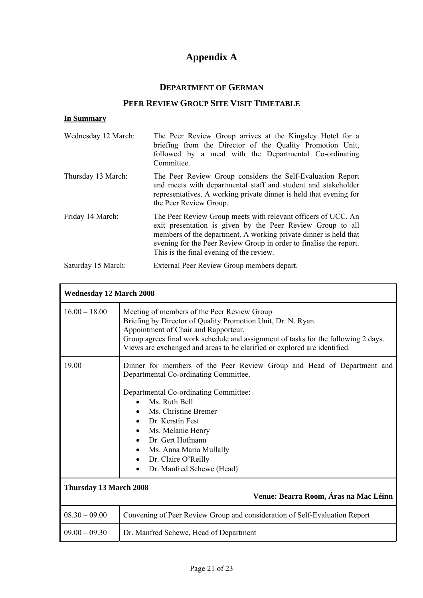# **Appendix A**

# **DEPARTMENT OF GERMAN**

# **PEER REVIEW GROUP SITE VISIT TIMETABLE**

# **In Summary**

| Wednesday 12 March: | The Peer Review Group arrives at the Kingsley Hotel for a<br>briefing from the Director of the Quality Promotion Unit,<br>followed by a meal with the Departmental Co-ordinating<br>Committee.                                                                                                                    |
|---------------------|-------------------------------------------------------------------------------------------------------------------------------------------------------------------------------------------------------------------------------------------------------------------------------------------------------------------|
| Thursday 13 March:  | The Peer Review Group considers the Self-Evaluation Report<br>and meets with departmental staff and student and stakeholder<br>representatives. A working private dinner is held that evening for<br>the Peer Review Group.                                                                                       |
| Friday 14 March:    | The Peer Review Group meets with relevant officers of UCC. An<br>exit presentation is given by the Peer Review Group to all<br>members of the department. A working private dinner is held that<br>evening for the Peer Review Group in order to finalise the report.<br>This is the final evening of the review. |
| Saturday 15 March:  | External Peer Review Group members depart.                                                                                                                                                                                                                                                                        |

| <b>Wednesday 12 March 2008</b>                                  |                                                                                                                                                                                                                                                                                                                                                                                                                             |
|-----------------------------------------------------------------|-----------------------------------------------------------------------------------------------------------------------------------------------------------------------------------------------------------------------------------------------------------------------------------------------------------------------------------------------------------------------------------------------------------------------------|
| $16.00 - 18.00$                                                 | Meeting of members of the Peer Review Group<br>Briefing by Director of Quality Promotion Unit, Dr. N. Ryan.<br>Appointment of Chair and Rapporteur.<br>Group agrees final work schedule and assignment of tasks for the following 2 days.<br>Views are exchanged and areas to be clarified or explored are identified.                                                                                                      |
| 19.00                                                           | Dinner for members of the Peer Review Group and Head of Department and<br>Departmental Co-ordinating Committee.<br>Departmental Co-ordinating Committee:<br>Ms. Ruth Bell<br>Ms. Christine Bremer<br>$\bullet$<br>Dr. Kerstin Fest<br>$\bullet$<br>Ms. Melanie Henry<br>$\bullet$<br>Dr. Gert Hofmann<br>$\bullet$<br>Ms. Anna Maria Mullally<br>$\bullet$<br>Dr. Claire O'Reilly<br>$\bullet$<br>Dr. Manfred Schewe (Head) |
| Thursday 13 March 2008<br>Venue: Bearra Room, Áras na Mac Léinn |                                                                                                                                                                                                                                                                                                                                                                                                                             |
| $08.30 - 09.00$                                                 | Convening of Peer Review Group and consideration of Self-Evaluation Report                                                                                                                                                                                                                                                                                                                                                  |
| $09.00 - 09.30$                                                 | Dr. Manfred Schewe, Head of Department                                                                                                                                                                                                                                                                                                                                                                                      |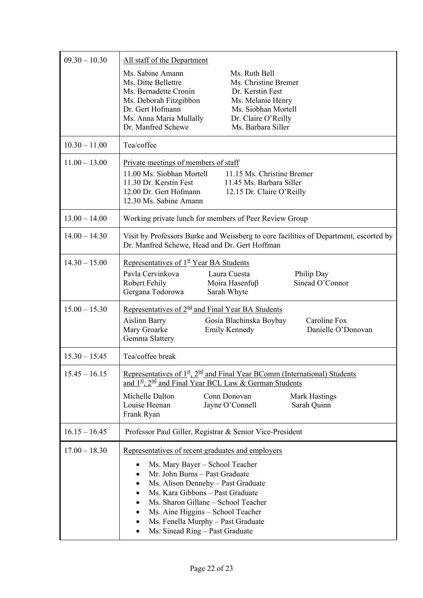| $09.30 - 10.30$ | All staff of the Department<br>Ms. Sabine Amann<br>Ms. Ruth Bell<br>Ms. Ditte Bellettre<br>Ms. Christine Bremer<br>Ms. Bernadette Cronin<br>Dr. Kerstin Fest<br>Ms. Deborah Fitzgibbon<br>Ms. Melanie Henry<br>Ms. Siobhan Mortell<br>Dr. Gert Hofmann<br>Ms. Anna Maria Mullally<br>Dr. Claire O'Reilly<br>Dr. Manfred Schewe<br>Ms. Barbara Siller  |
|-----------------|-------------------------------------------------------------------------------------------------------------------------------------------------------------------------------------------------------------------------------------------------------------------------------------------------------------------------------------------------------|
| $10.30 - 11.00$ | Tea/coffee                                                                                                                                                                                                                                                                                                                                            |
| $11.00 - 13.00$ | Private meetings of members of staff<br>11.00 Ms. Siobhan Mortell<br>11.15 Ms. Christine Bremer<br>11.30 Dr. Kerstin Fest<br>11.45 Ms. Barbara Siller<br>12.00 Dr. Gert Hofmann<br>12.15 Dr. Claire O'Reilly<br>12.30 Ms. Sabine Amann                                                                                                                |
| $13.00 - 14.00$ | Working private lunch for members of Peer Review Group                                                                                                                                                                                                                                                                                                |
| $14.00 - 14.30$ | Visit by Professors Burke and Weissberg to core facilities of Department, escorted by<br>Dr. Manfred Schewe, Head and Dr. Gert Hoffman                                                                                                                                                                                                                |
| $14.30 - 15.00$ | Representatives of $1st$ Year BA Students<br>Pavla Cervinkova<br>Laura Cuesta<br>Philip Day<br>Sinead O'Connor<br>Robert Fehily<br>Moira Hasenfuß<br>Gergana Todorowa<br>Sarah Whyte                                                                                                                                                                  |
| $15.00 - 15.30$ | Representatives of $2nd$ and Final Year BA Students<br>Caroline Fox<br><b>Aislinn Barry</b><br>Gosia Blachinska Boybay<br>Danielle O'Donovan<br>Mary Groarke<br><b>Emily Kennedy</b><br>Gemma Slattery                                                                                                                                                |
| $15.30 - 15.45$ | Tea/coffee break                                                                                                                                                                                                                                                                                                                                      |
| $15.45 - 16.15$ | <u>Representatives of <math>1^{\underline{st}}</math>, <math>2^{\underline{nd}}</math> and Final Year BComm (International) Students</u><br>and $1^{\underline{st}}$ , $2^{\underline{nd}}$ and Final Year BCL Law & German Students                                                                                                                  |
|                 | Michelle Dalton<br>Conn Donovan<br><b>Mark Hastings</b><br>Louise Heenan<br>Jayne O'Connell<br>Sarah Quinn<br>Frank Ryan                                                                                                                                                                                                                              |
| $16.15 - 16.45$ | Professor Paul Giller, Registrar & Senior Vice-President                                                                                                                                                                                                                                                                                              |
| $17.00 - 18.30$ | Representatives of recent graduates and employers<br>Ms. Mary Bayer - School Teacher<br>Mr. John Burns - Past Graduate<br>Ms. Alison Dennehy - Past Graduate<br>Ms. Kara Gibbons - Past Graduate<br>Ms. Sharon Gillane - School Teacher<br>Ms. Aine Higgins - School Teacher<br>Ms. Fenella Murphy - Past Graduate<br>Ms. Sinead Ring - Past Graduate |